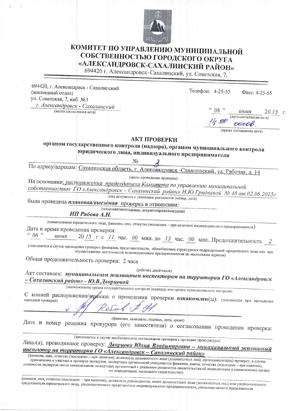

## КОМИТЕТ ПО УПРАВЛЕНИЮ МУНИЦИПАЛЬНОЙ СОБСТВЕННОСТЬЮ ГОРОДСКОГО ОКРУГА «АЛЕКСАНДРОВСК-САХАЛИНСКИЙ РАЙОН»

694420 г. Александровск-Сахалинский, ул. Советская, 7,

694420, г. Александрвск - Сахалинский (жилищный отдел) ул. Советская, 7, каб. №3 г. Александровск - Сахалинский

(место составления акта)

| (дата составления акта) |                          |
|-------------------------|--------------------------|
|                         |                          |
| reccob                  |                          |
|                         | (время составления акта) |

Факс: 4-25-55

Телефон: 4-25-55

## АКТ ПРОВЕРКИ

органом государственного контроля (надзора), органом муниципального контроля юридического лица, индивидуального предпринимателя

No

По адресу/адресам: Сахалинская область, г. Александровск -Сахалинский, ул. Рабочая, д. 14

(место проведения проверки)

На основании: распоряжения председателя Комитета по управлению муниципальной собственностью ГО «Александровск - Сахалинский район» Н.Ю.Гридневой № 48 от 02.06.2015г

(вид документа с указанием реквизитов (номер, дата)

была проведена плановая/выездная проверка в отношении:

(плановая/внеплановая, документарная/выездная)

ИП Рябова А.Н.

(наименование юридического лица, фамилия, имя, отчество (последнее - при наличии) индивидуального предпринимателя) Дата и время проведения проверки:

 $08$  . июня

2015 г. с 11 час. 00 мин. до 13 час. 00 мин. Продолжительность

(заполняется в случае проведения проверок филиалов, представительств, обособленных структурных подразделений юридического лица или при принимательной принимательности индивидуального предпринимателя по нескольким адресам)

Общая продолжительность проверки: 2 часа

(рабочих дней/часов)

Акт составлен: муниципальным жилищным инспектором на территории ГО «Александровск - Сахалинский район» - Ю.В.Дворцовой

(наименование органа государственного контроля (надзора) или органа муниципального контроля)

С копией распоряжения/ириказа о проведении проверки ознакомлен(ы): (заполняется при проведении

(фамилии, инициалы, подпись, дата, время)

Дата и номер решения прокурора (его заместителя) о согласовании проведения проверки:

(заполняется в случае необходимости согласования проверки с органами прокуратуры)

Лицо(а), проводившее проверку: Дворцова Юлия Владимировна - муниципальный жилищный инспектор на территории ГО «Александровск - Сахалинский район»

(фамилия, имя, отчество (последнее - при наличии), должность должностного лица (должностных лиц), проводившего(их) проверку; в случае привлечения к участию в проверке экспертов, экспертных организаций указываются фамилии, имена, отчества (последнее - при наличии), должности экспертов и/или наименования экспертных организаций с указанием реквизитов свидетельства об аккредитации и наименование органа по аккредитации, выдавшего свидетельство)

фамилия, имя, отчество (последнее - при наличии), должность руководителя, иного должностного лица (должностных лиц) или уполномоченного представителя юридического лица, уполномоченного представителя индивидуального предпринимателя, уполномоченного представителя